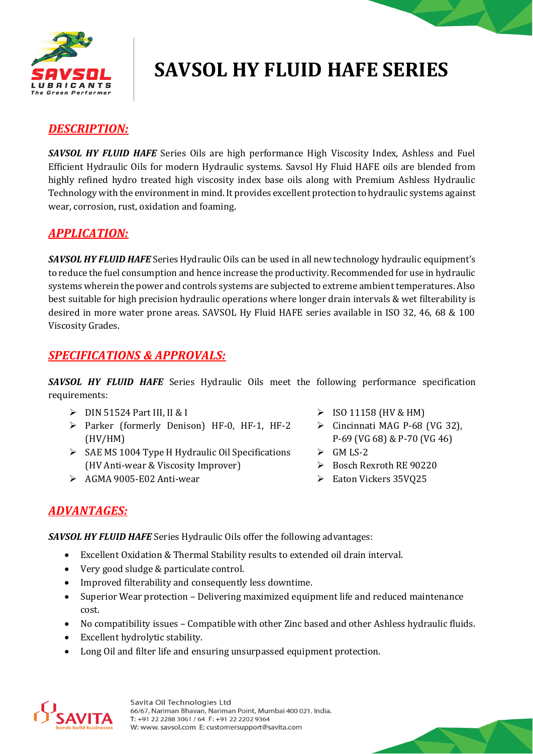

# **SAVSOL HY FLUID HAFE SERIES**

### *DESCRIPTION:*

*SAVSOL HY FLUID HAFE* Series Oils are high performance High Viscosity Index, Ashless and Fuel Efficient Hydraulic Oils for modern Hydraulic systems. Savsol Hy Fluid HAFE oils are blended from highly refined hydro treated high viscosity index base oils along with Premium Ashless Hydraulic Technology with the environment in mind. It provides excellent protection to hydraulic systems against wear, corrosion, rust, oxidation and foaming.

### *APPLICATION:*

*SAVSOL HY FLUID HAFE* Series Hydraulic Oils can be used in all new technology hydraulic equipment's to reduce the fuel consumption and hence increase the productivity. Recommended for use in hydraulic systems wherein the power and controls systems are subjected to extreme ambient temperatures. Also best suitable for high precision hydraulic operations where longer drain intervals & wet filterability is desired in more water prone areas. SAVSOL Hy Fluid HAFE series available in ISO 32, 46, 68 & 100 Viscosity Grades.

### *SPECIFICATIONS & APPROVALS:*

**SAVSOL HY FLUID HAFE** Series Hydraulic Oils meet the following performance specification requirements:

- $\triangleright$  DIN 51524 Part III, II & I  $\triangleright$  ISO 11158 (HV & HM)
- Parker (formerly Denison) HF-0, HF-1, HF-2 (HV/HM)
- $\triangleright$  SAE MS 1004 Type H Hydraulic Oil Specifications (HV Anti-wear & Viscosity Improver)
- $\triangleright$  AGMA 9005-E02 Anti-wear
- 
- $\triangleright$  Cincinnati MAG P-68 (VG 32), P-69 (VG 68) & P-70 (VG 46)
- $\triangleright$  GM LS-2
- $\geq$  Bosch Rexroth RE 90220
- Eaton Vickers 35VQ25

### *ADVANTAGES:*

*SAVSOL HY FLUID HAFE* Series Hydraulic Oils offer the following advantages:

- Excellent Oxidation & Thermal Stability results to extended oil drain interval.
- Very good sludge & particulate control.
- Improved filterability and consequently less downtime.
- Superior Wear protection Delivering maximized equipment life and reduced maintenance cost.
- No compatibility issues Compatible with other Zinc based and other Ashless hydraulic fluids.
- Excellent hydrolytic stability.
- Long Oil and filter life and ensuring unsurpassed equipment protection.